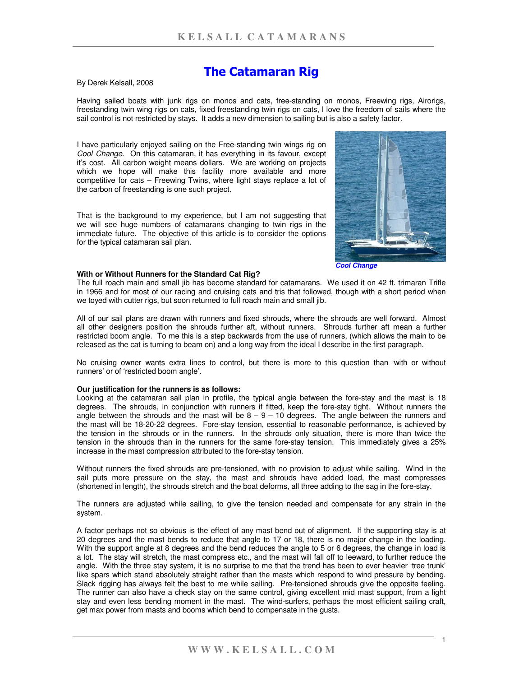# **The Catamaran Rig**

## By Derek Kelsall, 2008

Having sailed boats with junk rigs on monos and cats, free-standing on monos, Freewing rigs, Airorigs, freestanding twin wing rigs on cats, fixed freestanding twin rigs on cats, I love the freedom of sails where the sail control is not restricted by stays. It adds a new dimension to sailing but is also a safety factor.

I have particularly enjoyed sailing on the Free-standing twin wings rig on *Cool Change*. On this catamaran, it has everything in its favour, except it's cost. All carbon weight means dollars. We are working on projects which we hope will make this facility more available and more competitive for cats – Freewing Twins, where light stays replace a lot of the carbon of freestanding is one such project.

That is the background to my experience, but I am not suggesting that we will see huge numbers of catamarans changing to twin rigs in the immediate future. The objective of this article is to consider the options for the typical catamaran sail plan.



*Cool Change*

### **With or Without Runners for the Standard Cat Rig?**

The full roach main and small jib has become standard for catamarans. We used it on 42 ft. trimaran Trifle in 1966 and for most of our racing and cruising cats and tris that followed, though with a short period when we toyed with cutter rigs, but soon returned to full roach main and small jib.

All of our sail plans are drawn with runners and fixed shrouds, where the shrouds are well forward. Almost all other designers position the shrouds further aft, without runners. Shrouds further aft mean a further restricted boom angle. To me this is a step backwards from the use of runners, (which allows the main to be released as the cat is turning to beam on) and a long way from the ideal I describe in the first paragraph.

No cruising owner wants extra lines to control, but there is more to this question than 'with or without runners' or of 'restricted boom angle'.

#### **Our justification for the runners is as follows:**

Looking at the catamaran sail plan in profile, the typical angle between the fore-stay and the mast is 18 degrees. The shrouds, in conjunction with runners if fitted, keep the fore-stay tight. Without runners the angle between the shrouds and the mast will be  $8 - 9 - 10$  degrees. The angle between the runners and the mast will be 18-20-22 degrees. Fore-stay tension, essential to reasonable performance, is achieved by the tension in the shrouds or in the runners. In the shrouds only situation, there is more than twice the tension in the shrouds than in the runners for the same fore-stay tension. This immediately gives a 25% increase in the mast compression attributed to the fore-stay tension.

Without runners the fixed shrouds are pre-tensioned, with no provision to adjust while sailing. Wind in the sail puts more pressure on the stay, the mast and shrouds have added load, the mast compresses (shortened in length), the shrouds stretch and the boat deforms, all three adding to the sag in the fore-stay.

The runners are adjusted while sailing, to give the tension needed and compensate for any strain in the system.

A factor perhaps not so obvious is the effect of any mast bend out of alignment. If the supporting stay is at 20 degrees and the mast bends to reduce that angle to 17 or 18, there is no major change in the loading. With the support angle at 8 degrees and the bend reduces the angle to 5 or 6 degrees, the change in load is a lot. The stay will stretch, the mast compress etc., and the mast will fall off to leeward, to further reduce the angle. With the three stay system, it is no surprise to me that the trend has been to ever heavier 'tree trunk' like spars which stand absolutely straight rather than the masts which respond to wind pressure by bending. Slack rigging has always felt the best to me while sailing. Pre-tensioned shrouds give the opposite feeling. The runner can also have a check stay on the same control, giving excellent mid mast support, from a light stay and even less bending moment in the mast. The wind-surfers, perhaps the most efficient sailing craft, get max power from masts and booms which bend to compensate in the gusts.

1